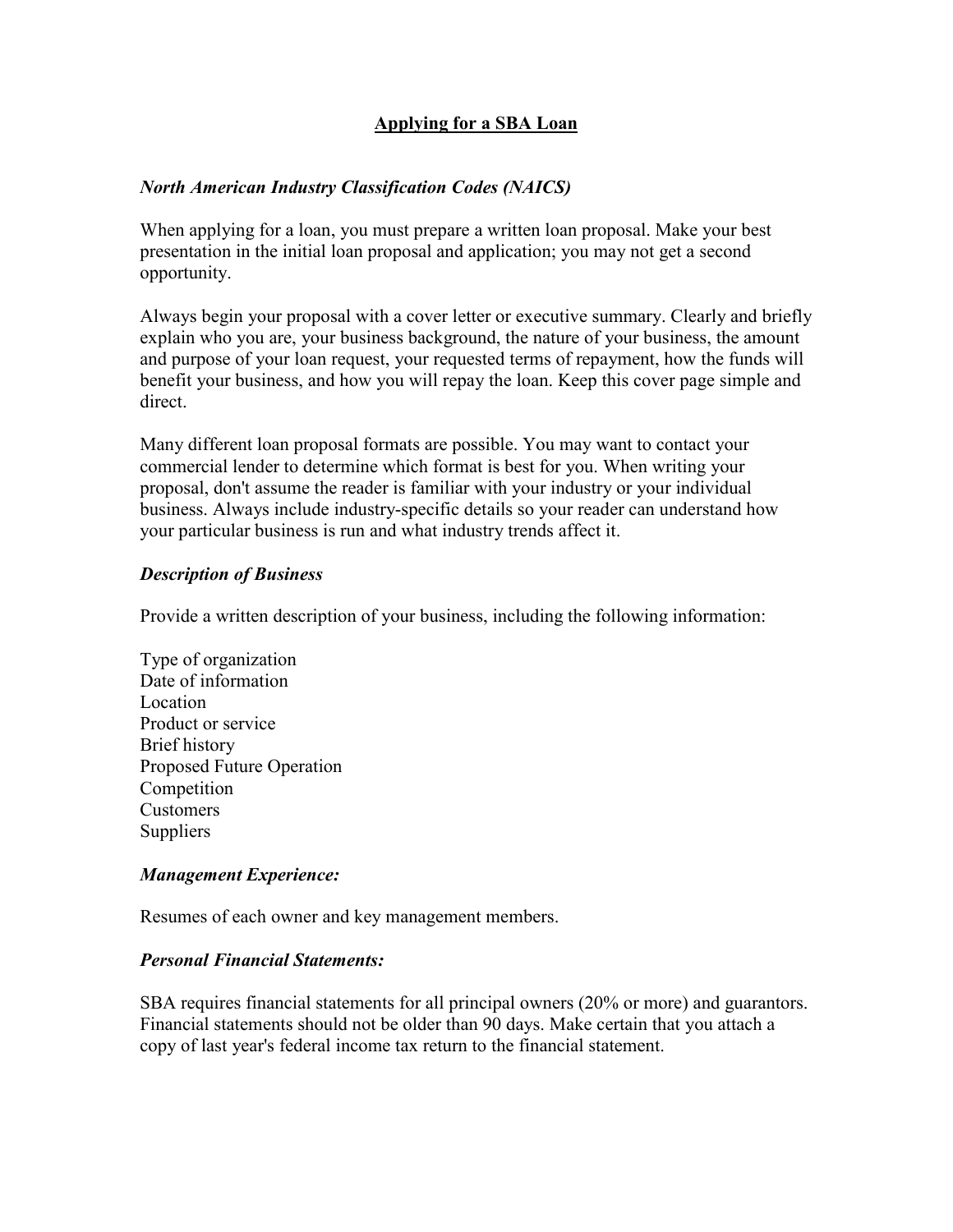# **Applying for a SBA Loan**

## *North American Industry Classification Codes (NAICS)*

When applying for a loan, you must prepare a written loan proposal. Make your best presentation in the initial loan proposal and application; you may not get a second opportunity.

Always begin your proposal with a cover letter or executive summary. Clearly and briefly explain who you are, your business background, the nature of your business, the amount and purpose of your loan request, your requested terms of repayment, how the funds will benefit your business, and how you will repay the loan. Keep this cover page simple and direct.

Many different loan proposal formats are possible. You may want to contact your commercial lender to determine which format is best for you. When writing your proposal, don't assume the reader is familiar with your industry or your individual business. Always include industry-specific details so your reader can understand how your particular business is run and what industry trends affect it.

## *Description of Business*

Provide a written description of your business, including the following information:

Type of organization Date of information Location Product or service Brief history Proposed Future Operation Competition Customers **Suppliers** 

## *Management Experience:*

Resumes of each owner and key management members.

## *Personal Financial Statements:*

SBA requires financial statements for all principal owners (20% or more) and guarantors. Financial statements should not be older than 90 days. Make certain that you attach a copy of last year's federal income tax return to the financial statement.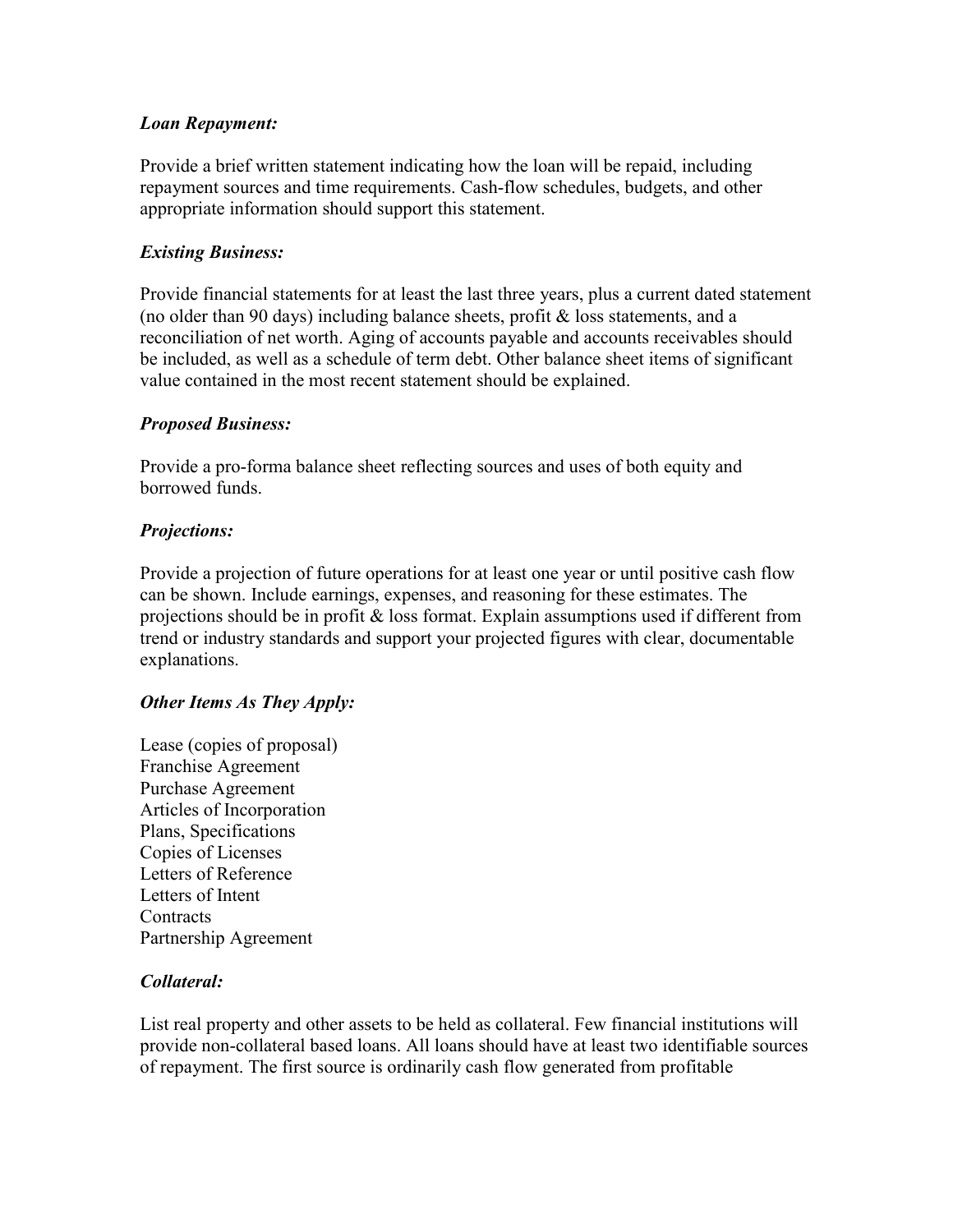### *Loan Repayment:*

Provide a brief written statement indicating how the loan will be repaid, including repayment sources and time requirements. Cash-flow schedules, budgets, and other appropriate information should support this statement.

### *Existing Business:*

Provide financial statements for at least the last three years, plus a current dated statement (no older than 90 days) including balance sheets, profit  $\&$  loss statements, and a reconciliation of net worth. Aging of accounts payable and accounts receivables should be included, as well as a schedule of term debt. Other balance sheet items of significant value contained in the most recent statement should be explained.

#### *Proposed Business:*

Provide a pro-forma balance sheet reflecting sources and uses of both equity and borrowed funds.

#### *Projections:*

Provide a projection of future operations for at least one year or until positive cash flow can be shown. Include earnings, expenses, and reasoning for these estimates. The projections should be in profit & loss format. Explain assumptions used if different from trend or industry standards and support your projected figures with clear, documentable explanations.

#### *Other Items As They Apply:*

Lease (copies of proposal) Franchise Agreement Purchase Agreement Articles of Incorporation Plans, Specifications Copies of Licenses Letters of Reference Letters of Intent **Contracts** Partnership Agreement

## *Collateral:*

List real property and other assets to be held as collateral. Few financial institutions will provide non-collateral based loans. All loans should have at least two identifiable sources of repayment. The first source is ordinarily cash flow generated from profitable